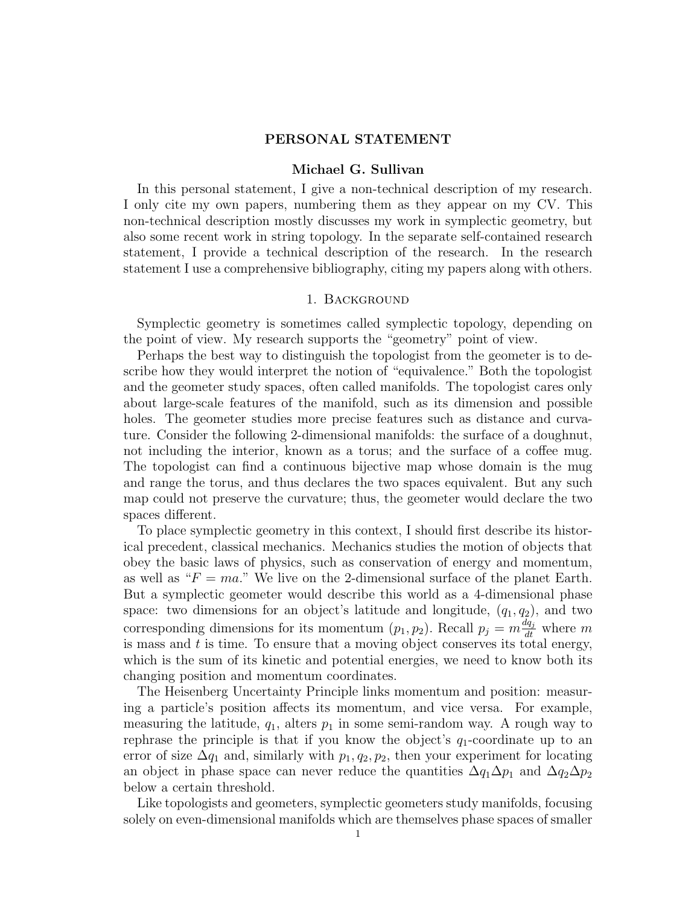## PERSONAL STATEMENT

## Michael G. Sullivan

In this personal statement, I give a non-technical description of my research. I only cite my own papers, numbering them as they appear on my CV. This non-technical description mostly discusses my work in symplectic geometry, but also some recent work in string topology. In the separate self-contained research statement, I provide a technical description of the research. In the research statement I use a comprehensive bibliography, citing my papers along with others.

## 1. Background

<span id="page-0-0"></span>Symplectic geometry is sometimes called symplectic topology, depending on the point of view. My research supports the "geometry" point of view.

Perhaps the best way to distinguish the topologist from the geometer is to describe how they would interpret the notion of "equivalence." Both the topologist and the geometer study spaces, often called manifolds. The topologist cares only about large-scale features of the manifold, such as its dimension and possible holes. The geometer studies more precise features such as distance and curvature. Consider the following 2-dimensional manifolds: the surface of a doughnut, not including the interior, known as a torus; and the surface of a coffee mug. The topologist can find a continuous bijective map whose domain is the mug and range the torus, and thus declares the two spaces equivalent. But any such map could not preserve the curvature; thus, the geometer would declare the two spaces different.

To place symplectic geometry in this context, I should first describe its historical precedent, classical mechanics. Mechanics studies the motion of objects that obey the basic laws of physics, such as conservation of energy and momentum, as well as " $F = ma$ ." We live on the 2-dimensional surface of the planet Earth. But a symplectic geometer would describe this world as a 4-dimensional phase space: two dimensions for an object's latitude and longitude,  $(q_1, q_2)$ , and two corresponding dimensions for its momentum  $(p_1, p_2)$ . Recall  $p_j = m \frac{dq_j}{dt}$  where m is mass and  $t$  is time. To ensure that a moving object conserves its total energy, which is the sum of its kinetic and potential energies, we need to know both its changing position and momentum coordinates.

The Heisenberg Uncertainty Principle links momentum and position: measuring a particle's position affects its momentum, and vice versa. For example, measuring the latitude,  $q_1$ , alters  $p_1$  in some semi-random way. A rough way to rephrase the principle is that if you know the object's  $q_1$ -coordinate up to an error of size  $\Delta q_1$  and, similarly with  $p_1, q_2, p_2$ , then your experiment for locating an object in phase space can never reduce the quantities  $\Delta q_1 \Delta p_1$  and  $\Delta q_2 \Delta p_2$ below a certain threshold.

Like topologists and geometers, symplectic geometers study manifolds, focusing solely on even-dimensional manifolds which are themselves phase spaces of smaller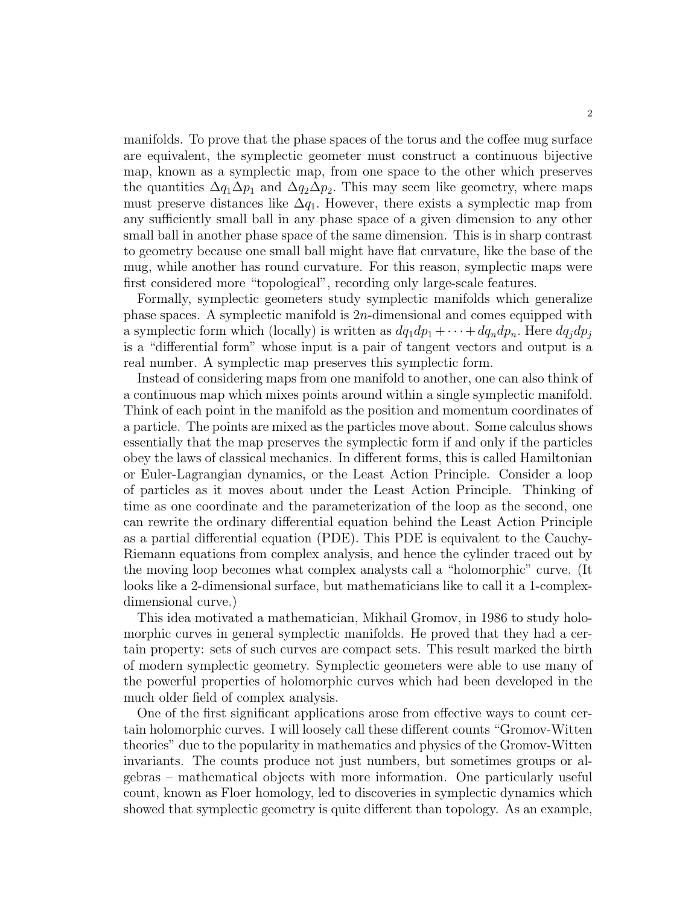manifolds. To prove that the phase spaces of the torus and the coffee mug surface are equivalent, the symplectic geometer must construct a continuous bijective map, known as a symplectic map, from one space to the other which preserves the quantities  $\Delta q_1 \Delta p_1$  and  $\Delta q_2 \Delta p_2$ . This may seem like geometry, where maps must preserve distances like  $\Delta q_1$ . However, there exists a symplectic map from any sufficiently small ball in any phase space of a given dimension to any other small ball in another phase space of the same dimension. This is in sharp contrast to geometry because one small ball might have flat curvature, like the base of the mug, while another has round curvature. For this reason, symplectic maps were first considered more "topological", recording only large-scale features.

Formally, symplectic geometers study symplectic manifolds which generalize phase spaces. A symplectic manifold is  $2n$ -dimensional and comes equipped with a symplectic form which (locally) is written as  $dq_1dp_1 + \cdots + dq_ndp_n$ . Here  $dq_jdp_j$ is a "differential form" whose input is a pair of tangent vectors and output is a real number. A symplectic map preserves this symplectic form.

Instead of considering maps from one manifold to another, one can also think of a continuous map which mixes points around within a single symplectic manifold. Think of each point in the manifold as the position and momentum coordinates of a particle. The points are mixed as the particles move about. Some calculus shows essentially that the map preserves the symplectic form if and only if the particles obey the laws of classical mechanics. In different forms, this is called Hamiltonian or Euler-Lagrangian dynamics, or the Least Action Principle. Consider a loop of particles as it moves about under the Least Action Principle. Thinking of time as one coordinate and the parameterization of the loop as the second, one can rewrite the ordinary differential equation behind the Least Action Principle as a partial differential equation (PDE). This PDE is equivalent to the Cauchy-Riemann equations from complex analysis, and hence the cylinder traced out by the moving loop becomes what complex analysts call a "holomorphic" curve. (It looks like a 2-dimensional surface, but mathematicians like to call it a 1-complexdimensional curve.)

This idea motivated a mathematician, Mikhail Gromov, in 1986 to study holomorphic curves in general symplectic manifolds. He proved that they had a certain property: sets of such curves are compact sets. This result marked the birth of modern symplectic geometry. Symplectic geometers were able to use many of the powerful properties of holomorphic curves which had been developed in the much older field of complex analysis.

One of the first significant applications arose from effective ways to count certain holomorphic curves. I will loosely call these different counts "Gromov-Witten theories" due to the popularity in mathematics and physics of the Gromov-Witten invariants. The counts produce not just numbers, but sometimes groups or algebras – mathematical objects with more information. One particularly useful count, known as Floer homology, led to discoveries in symplectic dynamics which showed that symplectic geometry is quite different than topology. As an example,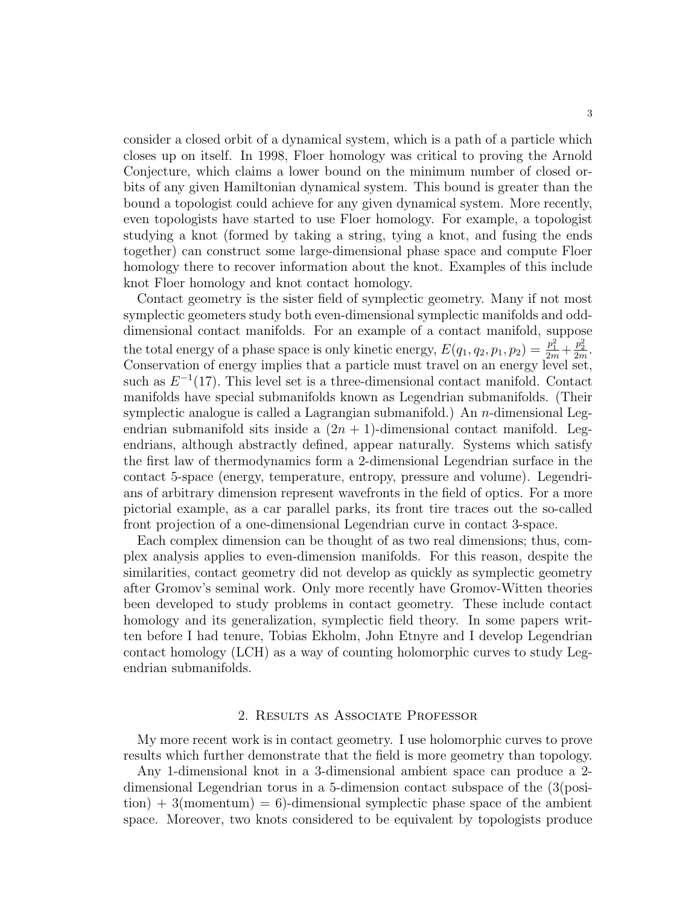consider a closed orbit of a dynamical system, which is a path of a particle which closes up on itself. In 1998, Floer homology was critical to proving the Arnold Conjecture, which claims a lower bound on the minimum number of closed orbits of any given Hamiltonian dynamical system. This bound is greater than the bound a topologist could achieve for any given dynamical system. More recently, even topologists have started to use Floer homology. For example, a topologist studying a knot (formed by taking a string, tying a knot, and fusing the ends together) can construct some large-dimensional phase space and compute Floer homology there to recover information about the knot. Examples of this include knot Floer homology and knot contact homology.

Contact geometry is the sister field of symplectic geometry. Many if not most symplectic geometers study both even-dimensional symplectic manifolds and odddimensional contact manifolds. For an example of a contact manifold, suppose the total energy of a phase space is only kinetic energy,  $E(q_1, q_2, p_1, p_2) = \frac{p_1^2}{2m} + \frac{p_2^2}{2m}$ . Conservation of energy implies that a particle must travel on an energy level set, such as  $E^{-1}(17)$ . This level set is a three-dimensional contact manifold. Contact manifolds have special submanifolds known as Legendrian submanifolds. (Their symplectic analogue is called a Lagrangian submanifold.) An  $n$ -dimensional Legendrian submanifold sits inside a  $(2n + 1)$ -dimensional contact manifold. Legendrians, although abstractly defined, appear naturally. Systems which satisfy the first law of thermodynamics form a 2-dimensional Legendrian surface in the contact 5-space (energy, temperature, entropy, pressure and volume). Legendrians of arbitrary dimension represent wavefronts in the field of optics. For a more pictorial example, as a car parallel parks, its front tire traces out the so-called front projection of a one-dimensional Legendrian curve in contact 3-space.

Each complex dimension can be thought of as two real dimensions; thus, complex analysis applies to even-dimension manifolds. For this reason, despite the similarities, contact geometry did not develop as quickly as symplectic geometry after Gromov's seminal work. Only more recently have Gromov-Witten theories been developed to study problems in contact geometry. These include contact homology and its generalization, symplectic field theory. In some papers written before I had tenure, Tobias Ekholm, John Etnyre and I develop Legendrian contact homology (LCH) as a way of counting holomorphic curves to study Legendrian submanifolds.

## 2. Results as Associate Professor

My more recent work is in contact geometry. I use holomorphic curves to prove results which further demonstrate that the field is more geometry than topology.

Any 1-dimensional knot in a 3-dimensional ambient space can produce a 2 dimensional Legendrian torus in a 5-dimension contact subspace of the (3(posi- $\text{tion}$  + 3(momentum) = 6)-dimensional symplectic phase space of the ambient space. Moreover, two knots considered to be equivalent by topologists produce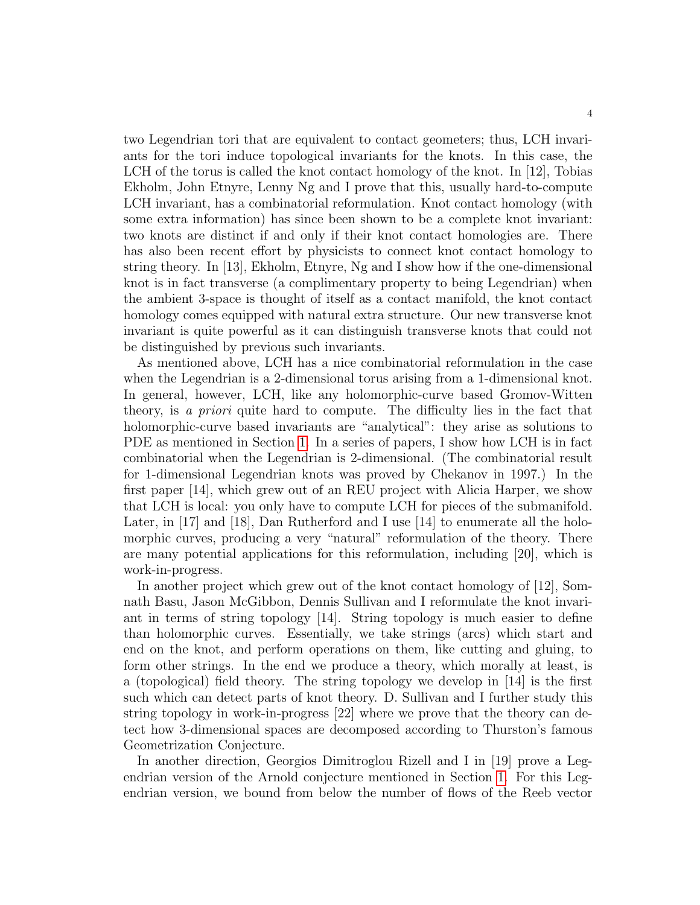two Legendrian tori that are equivalent to contact geometers; thus, LCH invariants for the tori induce topological invariants for the knots. In this case, the LCH of the torus is called the knot contact homology of the knot. In [12], Tobias Ekholm, John Etnyre, Lenny Ng and I prove that this, usually hard-to-compute LCH invariant, has a combinatorial reformulation. Knot contact homology (with some extra information) has since been shown to be a complete knot invariant: two knots are distinct if and only if their knot contact homologies are. There has also been recent effort by physicists to connect knot contact homology to string theory. In [13], Ekholm, Etnyre, Ng and I show how if the one-dimensional knot is in fact transverse (a complimentary property to being Legendrian) when the ambient 3-space is thought of itself as a contact manifold, the knot contact homology comes equipped with natural extra structure. Our new transverse knot invariant is quite powerful as it can distinguish transverse knots that could not be distinguished by previous such invariants.

As mentioned above, LCH has a nice combinatorial reformulation in the case when the Legendrian is a 2-dimensional torus arising from a 1-dimensional knot. In general, however, LCH, like any holomorphic-curve based Gromov-Witten theory, is a priori quite hard to compute. The difficulty lies in the fact that holomorphic-curve based invariants are "analytical": they arise as solutions to PDE as mentioned in Section [1.](#page-0-0) In a series of papers, I show how LCH is in fact combinatorial when the Legendrian is 2-dimensional. (The combinatorial result for 1-dimensional Legendrian knots was proved by Chekanov in 1997.) In the first paper [14], which grew out of an REU project with Alicia Harper, we show that LCH is local: you only have to compute LCH for pieces of the submanifold. Later, in [17] and [18], Dan Rutherford and I use [14] to enumerate all the holomorphic curves, producing a very "natural" reformulation of the theory. There are many potential applications for this reformulation, including [20], which is work-in-progress.

In another project which grew out of the knot contact homology of [12], Somnath Basu, Jason McGibbon, Dennis Sullivan and I reformulate the knot invariant in terms of string topology [14]. String topology is much easier to define than holomorphic curves. Essentially, we take strings (arcs) which start and end on the knot, and perform operations on them, like cutting and gluing, to form other strings. In the end we produce a theory, which morally at least, is a (topological) field theory. The string topology we develop in [14] is the first such which can detect parts of knot theory. D. Sullivan and I further study this string topology in work-in-progress [22] where we prove that the theory can detect how 3-dimensional spaces are decomposed according to Thurston's famous Geometrization Conjecture.

In another direction, Georgios Dimitroglou Rizell and I in [19] prove a Legendrian version of the Arnold conjecture mentioned in Section [1.](#page-0-0) For this Legendrian version, we bound from below the number of flows of the Reeb vector